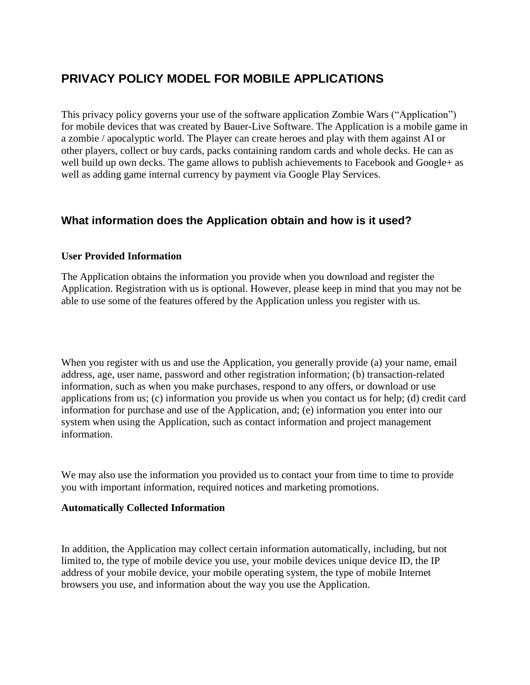# **PRIVACY POLICY MODEL FOR MOBILE APPLICATIONS**

This privacy policy governs your use of the software application Zombie Wars ("Application") for mobile devices that was created by Bauer-Live Software. The Application is a mobile game in a zombie / apocalyptic world. The Player can create heroes and play with them against AI or other players, collect or buy cards, packs containing random cards and whole decks. He can as well build up own decks. The game allows to publish achievements to Facebook and Google+ as well as adding game internal currency by payment via Google Play Services.

## **What information does the Application obtain and how is it used?**

#### **User Provided Information**

The Application obtains the information you provide when you download and register the Application. Registration with us is optional. However, please keep in mind that you may not be able to use some of the features offered by the Application unless you register with us.

When you register with us and use the Application, you generally provide (a) your name, email address, age, user name, password and other registration information; (b) transaction-related information, such as when you make purchases, respond to any offers, or download or use applications from us; (c) information you provide us when you contact us for help; (d) credit card information for purchase and use of the Application, and; (e) information you enter into our system when using the Application, such as contact information and project management information.

We may also use the information you provided us to contact your from time to time to provide you with important information, required notices and marketing promotions.

#### **Automatically Collected Information**

In addition, the Application may collect certain information automatically, including, but not limited to, the type of mobile device you use, your mobile devices unique device ID, the IP address of your mobile device, your mobile operating system, the type of mobile Internet browsers you use, and information about the way you use the Application.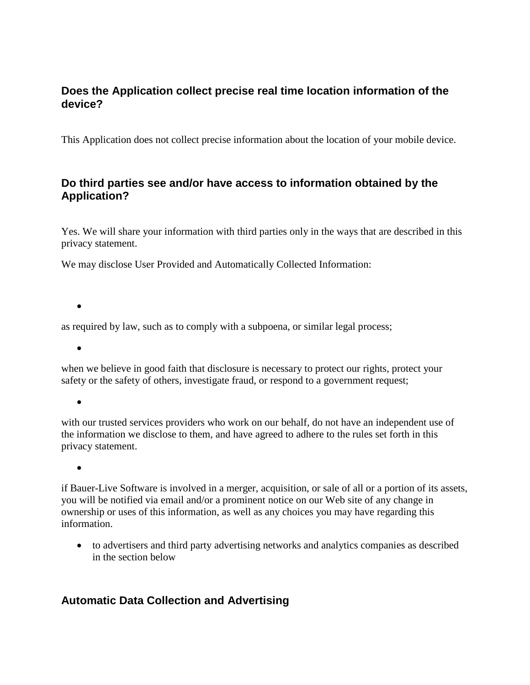#### **Does the Application collect precise real time location information of the device?**

This Application does not collect precise information about the location of your mobile device.

#### **Do third parties see and/or have access to information obtained by the Application?**

Yes. We will share your information with third parties only in the ways that are described in this privacy statement.

We may disclose User Provided and Automatically Collected Information:

 $\bullet$ 

as required by law, such as to comply with a subpoena, or similar legal process;

 $\bullet$ 

when we believe in good faith that disclosure is necessary to protect our rights, protect your safety or the safety of others, investigate fraud, or respond to a government request;

 $\bullet$ 

with our trusted services providers who work on our behalf, do not have an independent use of the information we disclose to them, and have agreed to adhere to the rules set forth in this privacy statement.

 $\bullet$ 

if Bauer-Live Software is involved in a merger, acquisition, or sale of all or a portion of its assets, you will be notified via email and/or a prominent notice on our Web site of any change in ownership or uses of this information, as well as any choices you may have regarding this information.

 to advertisers and third party advertising networks and analytics companies as described in the section below

## **Automatic Data Collection and Advertising**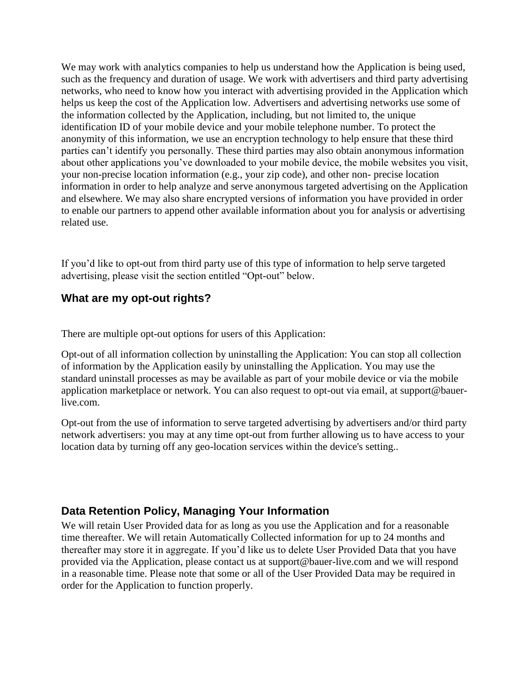We may work with analytics companies to help us understand how the Application is being used, such as the frequency and duration of usage. We work with advertisers and third party advertising networks, who need to know how you interact with advertising provided in the Application which helps us keep the cost of the Application low. Advertisers and advertising networks use some of the information collected by the Application, including, but not limited to, the unique identification ID of your mobile device and your mobile telephone number. To protect the anonymity of this information, we use an encryption technology to help ensure that these third parties can't identify you personally. These third parties may also obtain anonymous information about other applications you've downloaded to your mobile device, the mobile websites you visit, your non-precise location information (e.g., your zip code), and other non- precise location information in order to help analyze and serve anonymous targeted advertising on the Application and elsewhere. We may also share encrypted versions of information you have provided in order to enable our partners to append other available information about you for analysis or advertising related use.

If you'd like to opt-out from third party use of this type of information to help serve targeted advertising, please visit the section entitled "Opt-out" below.

#### **What are my opt-out rights?**

There are multiple opt-out options for users of this Application:

Opt-out of all information collection by uninstalling the Application: You can stop all collection of information by the Application easily by uninstalling the Application. You may use the standard uninstall processes as may be available as part of your mobile device or via the mobile application marketplace or network. You can also request to opt-out via email, at support@bauerlive.com.

Opt-out from the use of information to serve targeted advertising by advertisers and/or third party network advertisers: you may at any time opt-out from further allowing us to have access to your location data by turning off any geo-location services within the device's setting..

## **Data Retention Policy, Managing Your Information**

We will retain User Provided data for as long as you use the Application and for a reasonable time thereafter. We will retain Automatically Collected information for up to 24 months and thereafter may store it in aggregate. If you'd like us to delete User Provided Data that you have provided via the Application, please contact us at support@bauer-live.com and we will respond in a reasonable time. Please note that some or all of the User Provided Data may be required in order for the Application to function properly.